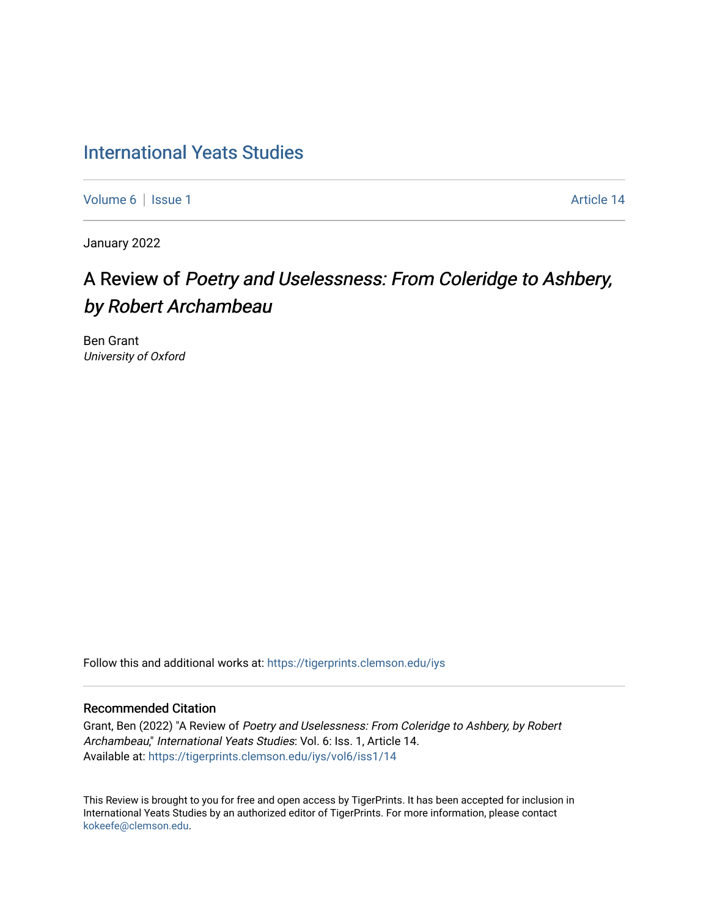## [International Yeats Studies](https://tigerprints.clemson.edu/iys)

[Volume 6](https://tigerprints.clemson.edu/iys/vol6) | [Issue 1](https://tigerprints.clemson.edu/iys/vol6/iss1) Article 14

January 2022

# A Review of Poetry and Uselessness: From Coleridge to Ashbery, by Robert Archambeau

Ben Grant University of Oxford

Follow this and additional works at: [https://tigerprints.clemson.edu/iys](https://tigerprints.clemson.edu/iys?utm_source=tigerprints.clemson.edu%2Fiys%2Fvol6%2Fiss1%2F14&utm_medium=PDF&utm_campaign=PDFCoverPages) 

### Recommended Citation

Grant, Ben (2022) "A Review of Poetry and Uselessness: From Coleridge to Ashbery, by Robert Archambeau," International Yeats Studies: Vol. 6: Iss. 1, Article 14. Available at: [https://tigerprints.clemson.edu/iys/vol6/iss1/14](https://tigerprints.clemson.edu/iys/vol6/iss1/14?utm_source=tigerprints.clemson.edu%2Fiys%2Fvol6%2Fiss1%2F14&utm_medium=PDF&utm_campaign=PDFCoverPages) 

This Review is brought to you for free and open access by TigerPrints. It has been accepted for inclusion in International Yeats Studies by an authorized editor of TigerPrints. For more information, please contact [kokeefe@clemson.edu](mailto:kokeefe@clemson.edu).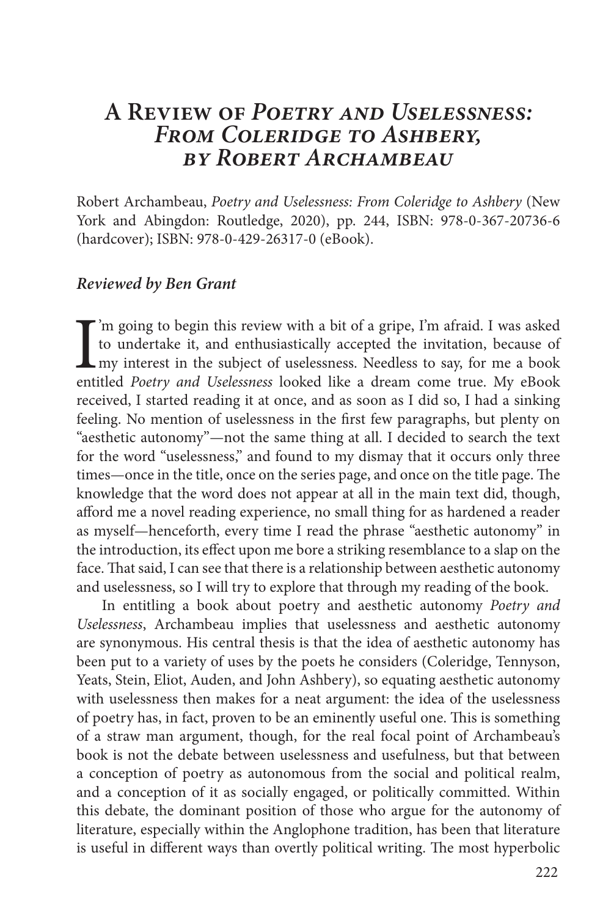### **A Review of** *Poetry and Uselessness: From Coleridge to Ashbery, by Robert Archambeau*

Robert Archambeau, *Poetry and Uselessness: From Coleridge to Ashbery* (New York and Abingdon: Routledge, 2020), pp. 244, ISBN: 978-0-367-20736-6 (hardcover); ISBN: 978-0-429-26317-0 (eBook).

### *Reviewed by Ben Grant*

I<br>enti 'm going to begin this review with a bit of a gripe, I'm afraid. I was asked to undertake it, and enthusiastically accepted the invitation, because of my interest in the subject of uselessness. Needless to say, for me a book entitled *Poetry and Uselessness* looked like a dream come true. My eBook received, I started reading it at once, and as soon as I did so, I had a sinking feeling. No mention of uselessness in the first few paragraphs, but plenty on "aesthetic autonomy"—not the same thing at all. I decided to search the text for the word "uselessness," and found to my dismay that it occurs only three times—once in the title, once on the series page, and once on the title page. The knowledge that the word does not appear at all in the main text did, though, afford me a novel reading experience, no small thing for as hardened a reader as myself—henceforth, every time I read the phrase "aesthetic autonomy" in the introduction, its effect upon me bore a striking resemblance to a slap on the face. That said, I can see that there is a relationship between aesthetic autonomy and uselessness, so I will try to explore that through my reading of the book.

In entitling a book about poetry and aesthetic autonomy *Poetry and Uselessness*, Archambeau implies that uselessness and aesthetic autonomy are synonymous. His central thesis is that the idea of aesthetic autonomy has been put to a variety of uses by the poets he considers (Coleridge, Tennyson, Yeats, Stein, Eliot, Auden, and John Ashbery), so equating aesthetic autonomy with uselessness then makes for a neat argument: the idea of the uselessness of poetry has, in fact, proven to be an eminently useful one. This is something of a straw man argument, though, for the real focal point of Archambeau's book is not the debate between uselessness and usefulness, but that between a conception of poetry as autonomous from the social and political realm, and a conception of it as socially engaged, or politically committed. Within this debate, the dominant position of those who argue for the autonomy of literature, especially within the Anglophone tradition, has been that literature is useful in different ways than overtly political writing. The most hyperbolic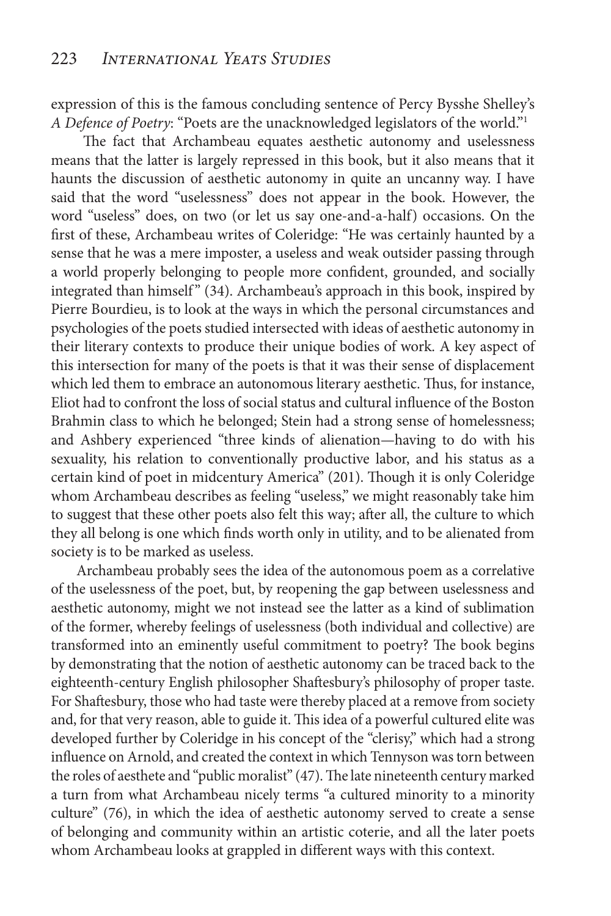expression of this is the famous concluding sentence of Percy Bysshe Shelley's *A Defence of Poetry*: "Poets are the unacknowledged legislators of the world."1

 The fact that Archambeau equates aesthetic autonomy and uselessness means that the latter is largely repressed in this book, but it also means that it haunts the discussion of aesthetic autonomy in quite an uncanny way. I have said that the word "uselessness" does not appear in the book. However, the word "useless" does, on two (or let us say one-and-a-half) occasions. On the first of these, Archambeau writes of Coleridge: "He was certainly haunted by a sense that he was a mere imposter, a useless and weak outsider passing through a world properly belonging to people more confident, grounded, and socially integrated than himself" (34). Archambeau's approach in this book, inspired by Pierre Bourdieu, is to look at the ways in which the personal circumstances and psychologies of the poets studied intersected with ideas of aesthetic autonomy in their literary contexts to produce their unique bodies of work. A key aspect of this intersection for many of the poets is that it was their sense of displacement which led them to embrace an autonomous literary aesthetic. Thus, for instance, Eliot had to confront the loss of social status and cultural influence of the Boston Brahmin class to which he belonged; Stein had a strong sense of homelessness; and Ashbery experienced "three kinds of alienation—having to do with his sexuality, his relation to conventionally productive labor, and his status as a certain kind of poet in midcentury America" (201). Though it is only Coleridge whom Archambeau describes as feeling "useless," we might reasonably take him to suggest that these other poets also felt this way; after all, the culture to which they all belong is one which finds worth only in utility, and to be alienated from society is to be marked as useless.

Archambeau probably sees the idea of the autonomous poem as a correlative of the uselessness of the poet, but, by reopening the gap between uselessness and aesthetic autonomy, might we not instead see the latter as a kind of sublimation of the former, whereby feelings of uselessness (both individual and collective) are transformed into an eminently useful commitment to poetry? The book begins by demonstrating that the notion of aesthetic autonomy can be traced back to the eighteenth-century English philosopher Shaftesbury's philosophy of proper taste. For Shaftesbury, those who had taste were thereby placed at a remove from society and, for that very reason, able to guide it. This idea of a powerful cultured elite was developed further by Coleridge in his concept of the "clerisy," which had a strong influence on Arnold, and created the context in which Tennyson was torn between the roles of aesthete and "public moralist" (47). The late nineteenth century marked a turn from what Archambeau nicely terms "a cultured minority to a minority culture" (76), in which the idea of aesthetic autonomy served to create a sense of belonging and community within an artistic coterie, and all the later poets whom Archambeau looks at grappled in different ways with this context.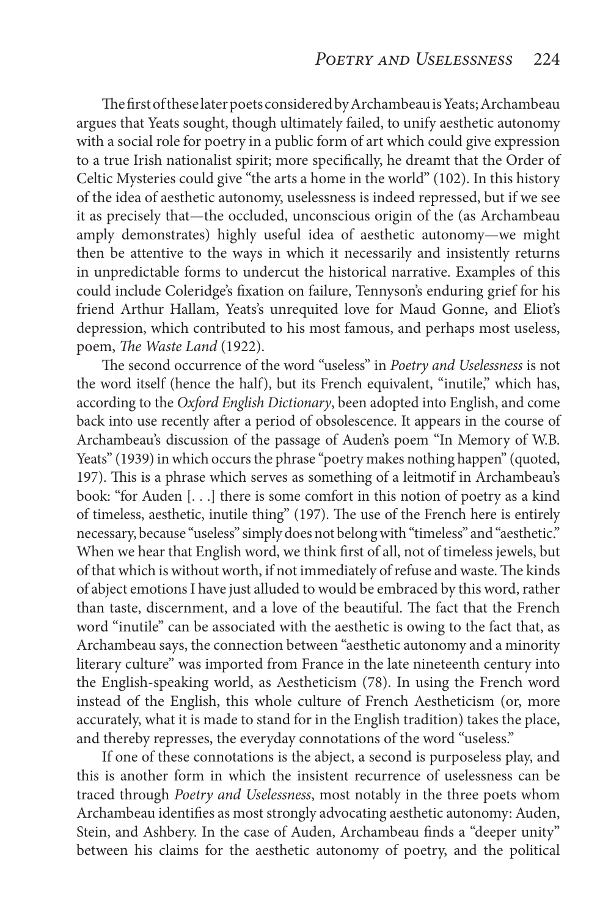The first of these later poets considered by Archambeau is Yeats; Archambeau argues that Yeats sought, though ultimately failed, to unify aesthetic autonomy with a social role for poetry in a public form of art which could give expression to a true Irish nationalist spirit; more specifically, he dreamt that the Order of Celtic Mysteries could give "the arts a home in the world" (102). In this history of the idea of aesthetic autonomy, uselessness is indeed repressed, but if we see it as precisely that—the occluded, unconscious origin of the (as Archambeau amply demonstrates) highly useful idea of aesthetic autonomy—we might then be attentive to the ways in which it necessarily and insistently returns in unpredictable forms to undercut the historical narrative. Examples of this could include Coleridge's fixation on failure, Tennyson's enduring grief for his friend Arthur Hallam, Yeats's unrequited love for Maud Gonne, and Eliot's depression, which contributed to his most famous, and perhaps most useless, poem, *The Waste Land* (1922).

The second occurrence of the word "useless" in *Poetry and Uselessness* is not the word itself (hence the half), but its French equivalent, "inutile," which has, according to the *Oxford English Dictionary*, been adopted into English, and come back into use recently after a period of obsolescence. It appears in the course of Archambeau's discussion of the passage of Auden's poem "In Memory of W.B. Yeats" (1939) in which occurs the phrase "poetry makes nothing happen" (quoted, 197). This is a phrase which serves as something of a leitmotif in Archambeau's book: "for Auden [. . .] there is some comfort in this notion of poetry as a kind of timeless, aesthetic, inutile thing" (197). The use of the French here is entirely necessary, because "useless" simply does not belong with "timeless" and "aesthetic." When we hear that English word, we think first of all, not of timeless jewels, but of that which is without worth, if not immediately of refuse and waste. The kinds of abject emotions I have just alluded to would be embraced by this word, rather than taste, discernment, and a love of the beautiful. The fact that the French word "inutile" can be associated with the aesthetic is owing to the fact that, as Archambeau says, the connection between "aesthetic autonomy and a minority literary culture" was imported from France in the late nineteenth century into the English-speaking world, as Aestheticism (78). In using the French word instead of the English, this whole culture of French Aestheticism (or, more accurately, what it is made to stand for in the English tradition) takes the place, and thereby represses, the everyday connotations of the word "useless."

If one of these connotations is the abject, a second is purposeless play, and this is another form in which the insistent recurrence of uselessness can be traced through *Poetry and Uselessness*, most notably in the three poets whom Archambeau identifies as most strongly advocating aesthetic autonomy: Auden, Stein, and Ashbery. In the case of Auden, Archambeau finds a "deeper unity" between his claims for the aesthetic autonomy of poetry, and the political